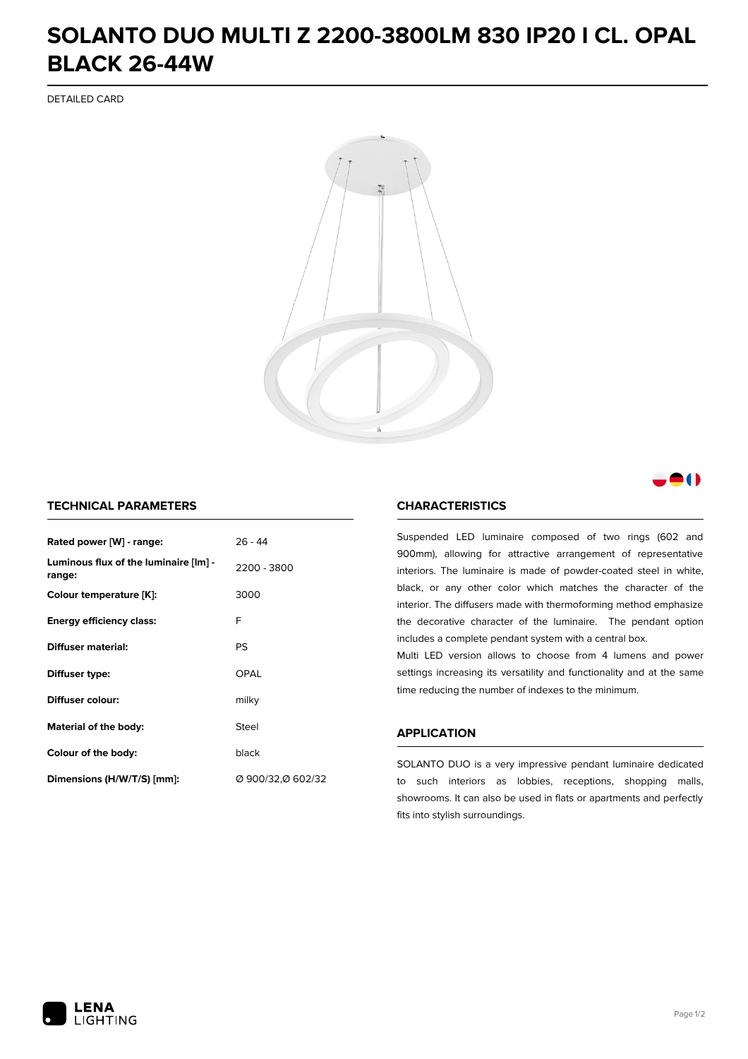## **SOLANTO DUO MULTI Z 2200-3800LM 830 IP20 I CL. OPAL BLACK 26-44W**

DETAILED CARD



### M

### **TECHNICAL PARAMETERS**

| Rated power [W] - range:                        | $26 - 44$         |  |
|-------------------------------------------------|-------------------|--|
| Luminous flux of the luminaire [lm] -<br>range: | 2200 - 3800       |  |
| Colour temperature [K]:                         | 3000              |  |
| <b>Energy efficiency class:</b>                 | F                 |  |
| Diffuser material:                              | PS                |  |
| Diffuser type:                                  | OPAL              |  |
| Diffuser colour:<br>milky                       |                   |  |
| Steel<br>Material of the body:                  |                   |  |
| Colour of the body:                             | black             |  |
| Dimensions (H/W/T/S) [mm]:                      | Ø 900/32,Ø 602/32 |  |

#### **CHARACTERISTICS**

Suspended LED luminaire composed of two rings (602 and 900mm), allowing for attractive arrangement of representative interiors. The luminaire is made of powder-coated steel in white, black, or any other color which matches the character of the interior. The diffusers made with thermoforming method emphasize the decorative character of the luminaire. The pendant option includes a complete pendant system with a central box.

Multi LED version allows to choose from 4 lumens and power settings increasing its versatility and functionality and at the same time reducing the number of indexes to the minimum.

#### **APPLICATION**

SOLANTO DUO is a very impressive pendant luminaire dedicated to such interiors as lobbies, receptions, shopping malls, showrooms. It can also be used in flats or apartments and perfectly fits into stylish surroundings.